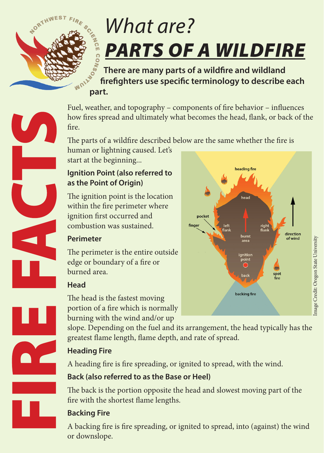

# *What are? PARTS OF A WILDFIRE*

 **There are many parts of a wildfire and wildland firefighters use specific terminology to describe each part.**

Fuel, weather, and topography – components of fire behavior – influences how fires spread and ultimately what becomes the head, flank, or back of the fire.

The parts of a wildfire described below are the same whether the fire is

human or lightning caused. Let's start at the beginning...

#### **Ignition Point (also referred to as the Point of Origin)**

The ignition point is the location within the fire perimeter where ignition first occurred and combustion was sustained.

#### **Perimeter**

The perimeter is the entire outside edge or boundary of a fire or burned area.

#### **Head**

The head is the fastest moving portion of a fire which is normally burning with the wind and/or up

slope. Depending on the fuel and its arrangement, the head typically has the greatest flame length, flame depth, and rate of spread.

# **Heading Fire**

A heading fire is fire spreading, or ignited to spread, with the wind.

# **Back (also referred to as the Base or Heel)**

The back is the portion opposite the head and slowest moving part of the fire with the shortest flame lengths.

# **Backing Fire**

A backing fire is fire spreading, or ignited to spread, into (against) the wind or downslope.